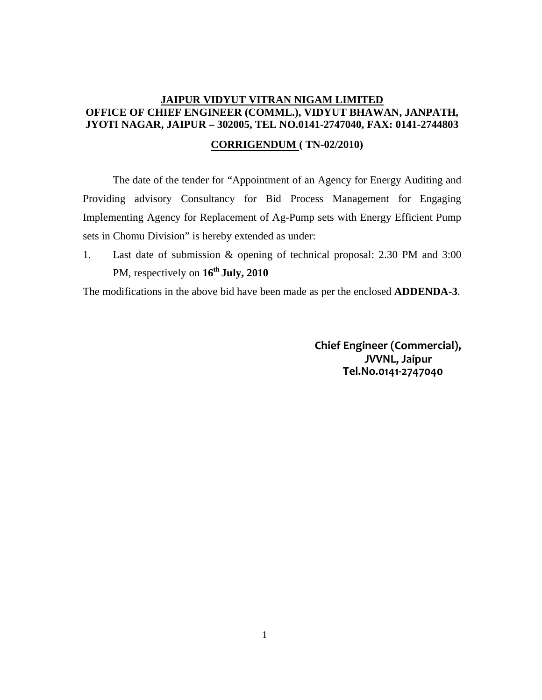# **JAIPUR VIDYUT VITRAN NIGAM LIMITED OFFICE OF CHIEF ENGINEER (COMML.), VIDYUT BHAWAN, JANPATH, JYOTI NAGAR, JAIPUR – 302005, TEL NO.0141-2747040, FAX: 0141-2744803**

## **CORRIGENDUM ( TN-02/2010)**

The date of the tender for "Appointment of an Agency for Energy Auditing and Providing advisory Consultancy for Bid Process Management for Engaging Implementing Agency for Replacement of Ag-Pump sets with Energy Efficient Pump sets in Chomu Division" is hereby extended as under:

1. Last date of submission & opening of technical proposal: 2.30 PM and 3:00 PM, respectively on **16th July, 2010**

The modifications in the above bid have been made as per the enclosed **ADDENDA-3**.

**Chief Engineer (Commercial), JVVNL, Jaipur Tel.No.0141-2747040**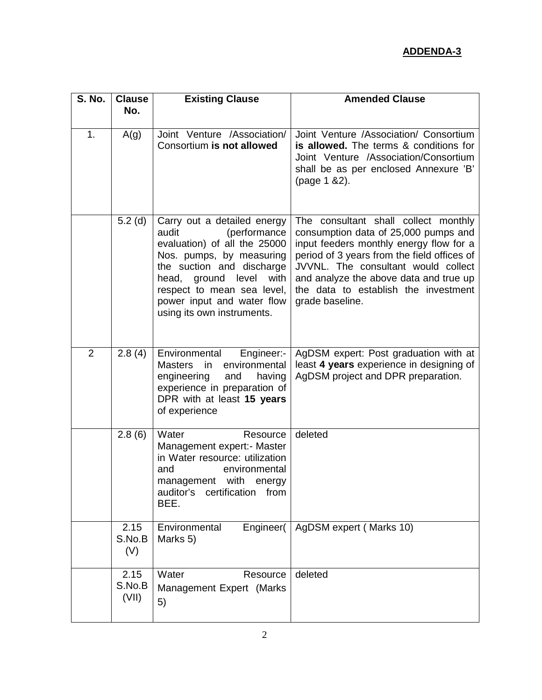| S. No.         | <b>Clause</b>           | <b>Existing Clause</b>                                                                                                                                                                                                                                                | <b>Amended Clause</b>                                                                                                                                                                                                                                                                                              |
|----------------|-------------------------|-----------------------------------------------------------------------------------------------------------------------------------------------------------------------------------------------------------------------------------------------------------------------|--------------------------------------------------------------------------------------------------------------------------------------------------------------------------------------------------------------------------------------------------------------------------------------------------------------------|
|                | No.                     |                                                                                                                                                                                                                                                                       |                                                                                                                                                                                                                                                                                                                    |
| 1.             | A(g)                    | Joint Venture /Association/<br>Consortium is not allowed                                                                                                                                                                                                              | Joint Venture /Association/ Consortium<br>is allowed. The terms & conditions for<br>Joint Venture /Association/Consortium<br>shall be as per enclosed Annexure 'B'<br>(page 1 & 2).                                                                                                                                |
|                | $5.2$ (d)               | Carry out a detailed energy<br>audit<br>(performance<br>evaluation) of all the 25000<br>Nos. pumps, by measuring<br>the suction and discharge<br>head, ground level<br>with<br>respect to mean sea level,<br>power input and water flow<br>using its own instruments. | The consultant shall collect monthly<br>consumption data of 25,000 pumps and<br>input feeders monthly energy flow for a<br>period of 3 years from the field offices of<br>JVVNL. The consultant would collect<br>and analyze the above data and true up<br>the data to establish the investment<br>grade baseline. |
| $\overline{2}$ | 2.8(4)                  | Environmental<br>Engineer:-<br><b>Masters</b><br>environmental<br>in<br>engineering<br>and<br>having<br>experience in preparation of<br>DPR with at least 15 years<br>of experience                                                                                   | AgDSM expert: Post graduation with at<br>least 4 years experience in designing of<br>AgDSM project and DPR preparation.                                                                                                                                                                                            |
|                | 2.8(6)                  | Water<br>Resource<br>Management expert:- Master<br>in Water resource: utilization<br>and<br>environmental<br>management with<br>energy<br>auditor's<br>certification<br>from<br>BEE.                                                                                  | deleted                                                                                                                                                                                                                                                                                                            |
|                | 2.15<br>S.No.B<br>(V)   | Environmental<br>Engineer(<br>Marks 5)                                                                                                                                                                                                                                | AgDSM expert (Marks 10)                                                                                                                                                                                                                                                                                            |
|                | 2.15<br>S.No.B<br>(VII) | Water<br>Resource<br>Management Expert (Marks<br>5)                                                                                                                                                                                                                   | deleted                                                                                                                                                                                                                                                                                                            |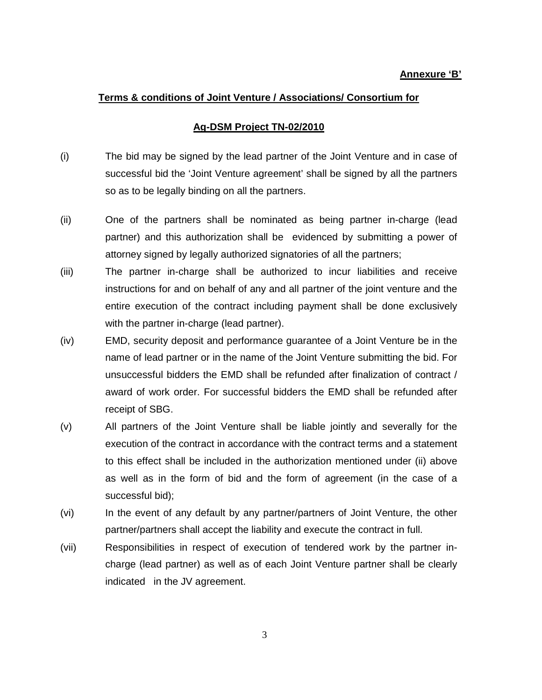### **Annexure 'B'**

## **Terms & conditions of Joint Venture / Associations/ Consortium for**

#### **Ag-DSM Project TN-02/2010**

- (i) The bid may be signed by the lead partner of the Joint Venture and in case of successful bid the 'Joint Venture agreement' shall be signed by all the partners so as to be legally binding on all the partners.
- (ii) One of the partners shall be nominated as being partner in-charge (lead partner) and this authorization shall be evidenced by submitting a power of attorney signed by legally authorized signatories of all the partners;
- (iii) The partner in-charge shall be authorized to incur liabilities and receive instructions for and on behalf of any and all partner of the joint venture and the entire execution of the contract including payment shall be done exclusively with the partner in-charge (lead partner).
- (iv) EMD, security deposit and performance guarantee of a Joint Venture be in the name of lead partner or in the name of the Joint Venture submitting the bid. For unsuccessful bidders the EMD shall be refunded after finalization of contract / award of work order. For successful bidders the EMD shall be refunded after receipt of SBG.
- (v) All partners of the Joint Venture shall be liable jointly and severally for the execution of the contract in accordance with the contract terms and a statement to this effect shall be included in the authorization mentioned under (ii) above as well as in the form of bid and the form of agreement (in the case of a successful bid);
- (vi) In the event of any default by any partner/partners of Joint Venture, the other partner/partners shall accept the liability and execute the contract in full.
- (vii) Responsibilities in respect of execution of tendered work by the partner incharge (lead partner) as well as of each Joint Venture partner shall be clearly indicated in the JV agreement.